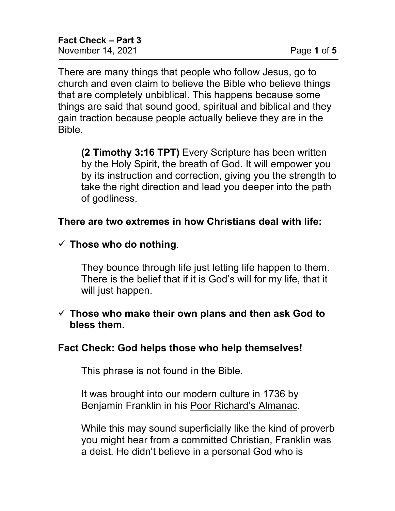There are many things that people who follow Jesus, go to church and even claim to believe the Bible who believe things that are completely unbiblical. This happens because some things are said that sound good, spiritual and biblical and they gain traction because people actually believe they are in the Bible.

**(2 Timothy 3:16 TPT)** Every Scripture has been written by the Holy Spirit, the breath of God. It will empower you by its instruction and correction, giving you the strength to take the right direction and lead you deeper into the path of godliness.

### **There are two extremes in how Christians deal with life:**

### $\checkmark$  Those who do nothing.

They bounce through life just letting life happen to them. There is the belief that if it is God's will for my life, that it will just happen.

#### **Those who make their own plans and then ask God to bless them.**

### **Fact Check: God helps those who help themselves!**

This phrase is not found in the Bible.

It was brought into our modern culture in 1736 by Benjamin Franklin in his Poor Richard's Almanac.

While this may sound superficially like the kind of proverb you might hear from a committed Christian, Franklin was a deist. He didn't believe in a personal God who is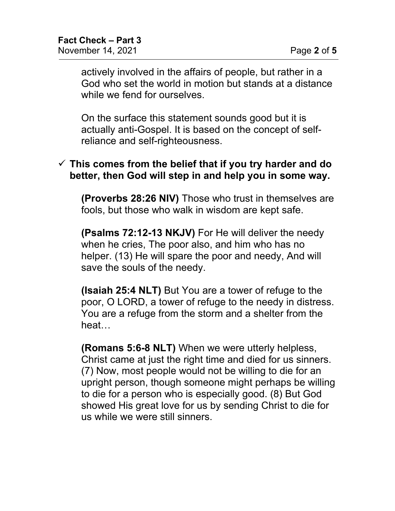actively involved in the affairs of people, but rather in a God who set the world in motion but stands at a distance while we fend for ourselves.

On the surface this statement sounds good but it is actually anti-Gospel. It is based on the concept of selfreliance and self-righteousness.

#### **This comes from the belief that if you try harder and do better, then God will step in and help you in some way.**

**(Proverbs 28:26 NIV)** Those who trust in themselves are fools, but those who walk in wisdom are kept safe.

**(Psalms 72:12-13 NKJV)** For He will deliver the needy when he cries, The poor also, and him who has no helper. (13) He will spare the poor and needy, And will save the souls of the needy.

**(Isaiah 25:4 NLT)** But You are a tower of refuge to the poor, O LORD, a tower of refuge to the needy in distress. You are a refuge from the storm and a shelter from the heat…

**(Romans 5:6-8 NLT)** When we were utterly helpless, Christ came at just the right time and died for us sinners. (7) Now, most people would not be willing to die for an upright person, though someone might perhaps be willing to die for a person who is especially good. (8) But God showed His great love for us by sending Christ to die for us while we were still sinners.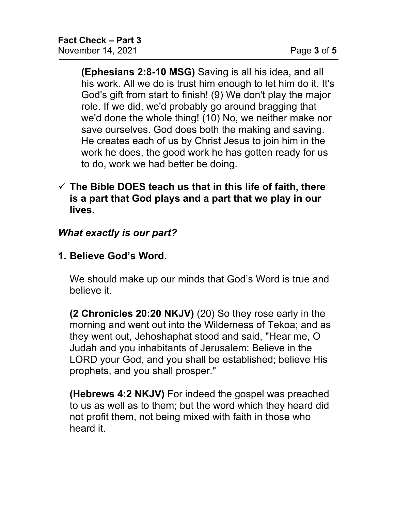**(Ephesians 2:8-10 MSG)** Saving is all his idea, and all his work. All we do is trust him enough to let him do it. It's God's gift from start to finish! (9) We don't play the major role. If we did, we'd probably go around bragging that we'd done the whole thing! (10) No, we neither make nor save ourselves. God does both the making and saving. He creates each of us by Christ Jesus to join him in the work he does, the good work he has gotten ready for us to do, work we had better be doing.

### **The Bible DOES teach us that in this life of faith, there is a part that God plays and a part that we play in our lives.**

# *What exactly is our part?*

**1. Believe God's Word.**

We should make up our minds that God's Word is true and believe it.

**(2 Chronicles 20:20 NKJV)** (20) So they rose early in the morning and went out into the Wilderness of Tekoa; and as they went out, Jehoshaphat stood and said, "Hear me, O Judah and you inhabitants of Jerusalem: Believe in the LORD your God, and you shall be established; believe His prophets, and you shall prosper."

**(Hebrews 4:2 NKJV)** For indeed the gospel was preached to us as well as to them; but the word which they heard did not profit them, not being mixed with faith in those who heard it.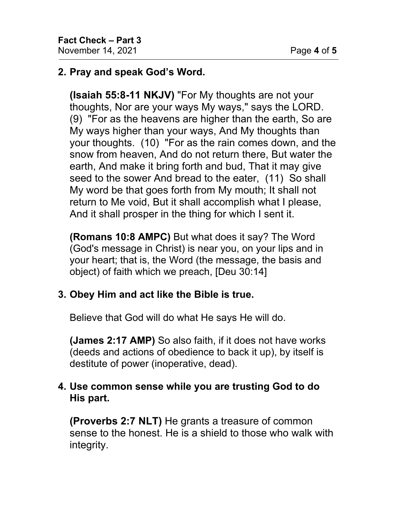# **2. Pray and speak God's Word.**

**(Isaiah 55:8-11 NKJV)** "For My thoughts are not your thoughts, Nor are your ways My ways," says the LORD. (9) "For as the heavens are higher than the earth, So are My ways higher than your ways, And My thoughts than your thoughts. (10) "For as the rain comes down, and the snow from heaven, And do not return there, But water the earth, And make it bring forth and bud, That it may give seed to the sower And bread to the eater, (11) So shall My word be that goes forth from My mouth; It shall not return to Me void, But it shall accomplish what I please, And it shall prosper in the thing for which I sent it.

**(Romans 10:8 AMPC)** But what does it say? The Word (God's message in Christ) is near you, on your lips and in your heart; that is, the Word (the message, the basis and object) of faith which we preach, [Deu 30:14]

# **3. Obey Him and act like the Bible is true.**

Believe that God will do what He says He will do.

**(James 2:17 AMP)** So also faith, if it does not have works (deeds and actions of obedience to back it up), by itself is destitute of power (inoperative, dead).

### **4. Use common sense while you are trusting God to do His part.**

**(Proverbs 2:7 NLT)** He grants a treasure of common sense to the honest. He is a shield to those who walk with integrity.